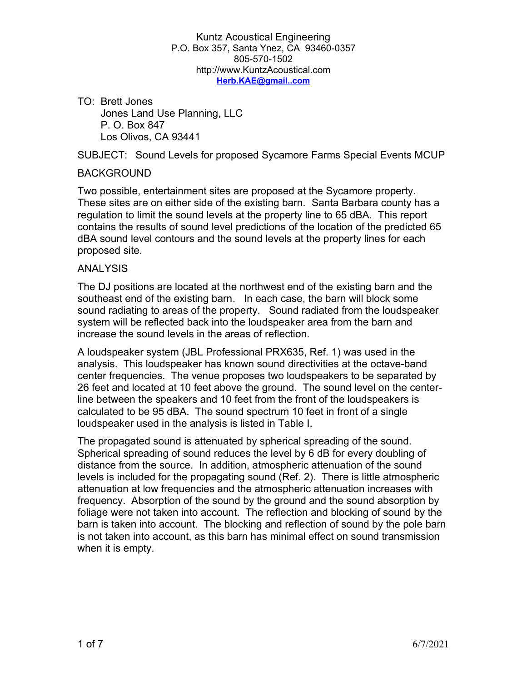TO: Brett Jones Jones Land Use Planning, LLC P. O. Box 847 Los Olivos, CA 93441

SUBJECT: Sound Levels for proposed Sycamore Farms Special Events MCUP

## BACKGROUND

Two possible, entertainment sites are proposed at the Sycamore property. These sites are on either side of the existing barn. Santa Barbara county has a regulation to limit the sound levels at the property line to 65 dBA. This report contains the results of sound level predictions of the location of the predicted 65 dBA sound level contours and the sound levels at the property lines for each proposed site.

## **ANALYSIS**

The DJ positions are located at the northwest end of the existing barn and the southeast end of the existing barn. In each case, the barn will block some sound radiating to areas of the property. Sound radiated from the loudspeaker system will be reflected back into the loudspeaker area from the barn and increase the sound levels in the areas of reflection.

A loudspeaker system (JBL Professional PRX635, Ref. 1) was used in the analysis. This loudspeaker has known sound directivities at the octave-band center frequencies. The venue proposes two loudspeakers to be separated by 26 feet and located at 10 feet above the ground. The sound level on the centerline between the speakers and 10 feet from the front of the loudspeakers is calculated to be 95 dBA. The sound spectrum 10 feet in front of a single loudspeaker used in the analysis is listed in Table I.

The propagated sound is attenuated by spherical spreading of the sound. Spherical spreading of sound reduces the level by 6 dB for every doubling of distance from the source. In addition, atmospheric attenuation of the sound levels is included for the propagating sound (Ref. 2). There is little atmospheric attenuation at low frequencies and the atmospheric attenuation increases with frequency. Absorption of the sound by the ground and the sound absorption by foliage were not taken into account. The reflection and blocking of sound by the barn is taken into account. The blocking and reflection of sound by the pole barn is not taken into account, as this barn has minimal effect on sound transmission when it is empty.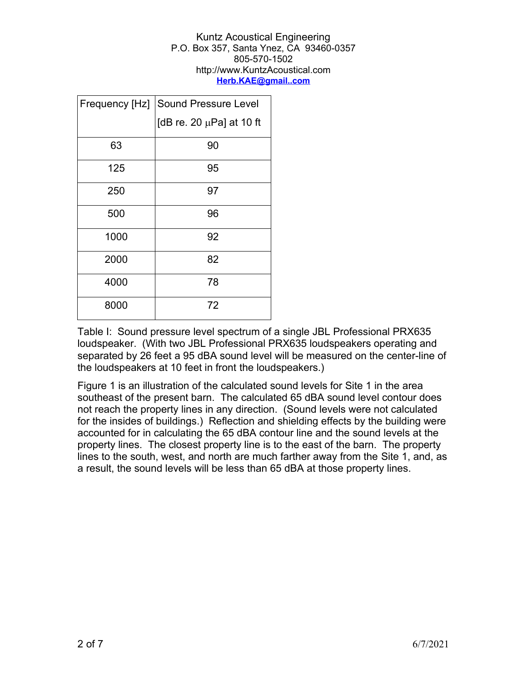| Frequency [Hz] | <b>Sound Pressure Level</b>   |
|----------------|-------------------------------|
|                | [dB re. 20 $\mu$ Pa] at 10 ft |
| 63             | 90                            |
| 125            | 95                            |
| 250            | 97                            |
| 500            | 96                            |
| 1000           | 92                            |
| 2000           | 82                            |
| 4000           | 78                            |
| 8000           | 72                            |

Table I: Sound pressure level spectrum of a single JBL Professional PRX635 loudspeaker. (With two JBL Professional PRX635 loudspeakers operating and separated by 26 feet a 95 dBA sound level will be measured on the center-line of the loudspeakers at 10 feet in front the loudspeakers.)

Figure 1 is an illustration of the calculated sound levels for Site 1 in the area southeast of the present barn. The calculated 65 dBA sound level contour does not reach the property lines in any direction. (Sound levels were not calculated for the insides of buildings.) Reflection and shielding effects by the building were accounted for in calculating the 65 dBA contour line and the sound levels at the property lines. The closest property line is to the east of the barn. The property lines to the south, west, and north are much farther away from the Site 1, and, as a result, the sound levels will be less than 65 dBA at those property lines.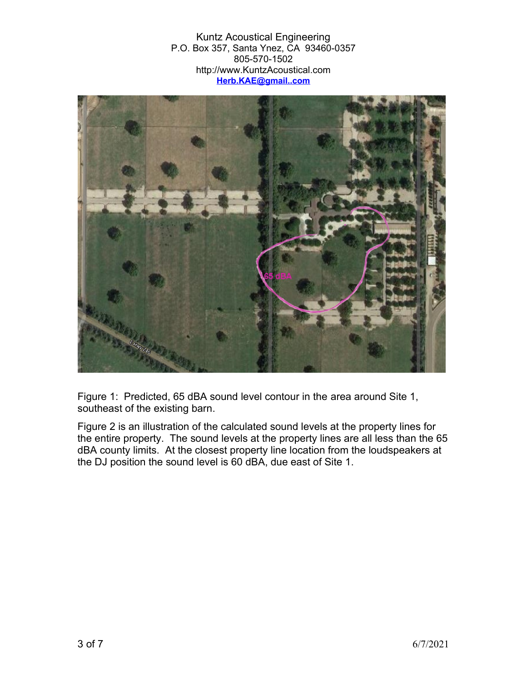

Figure 1: Predicted, 65 dBA sound level contour in the area around Site 1, southeast of the existing barn.

Figure 2 is an illustration of the calculated sound levels at the property lines for the entire property. The sound levels at the property lines are all less than the 65 dBA county limits. At the closest property line location from the loudspeakers at the DJ position the sound level is 60 dBA, due east of Site 1.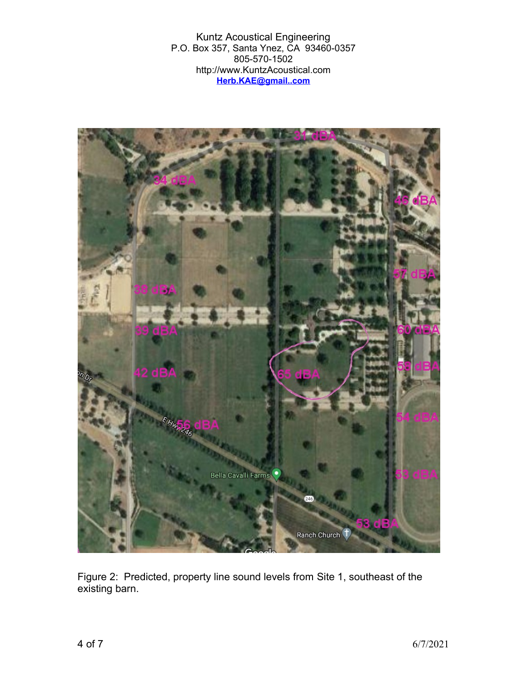

Figure 2: Predicted, property line sound levels from Site 1, southeast of the existing barn.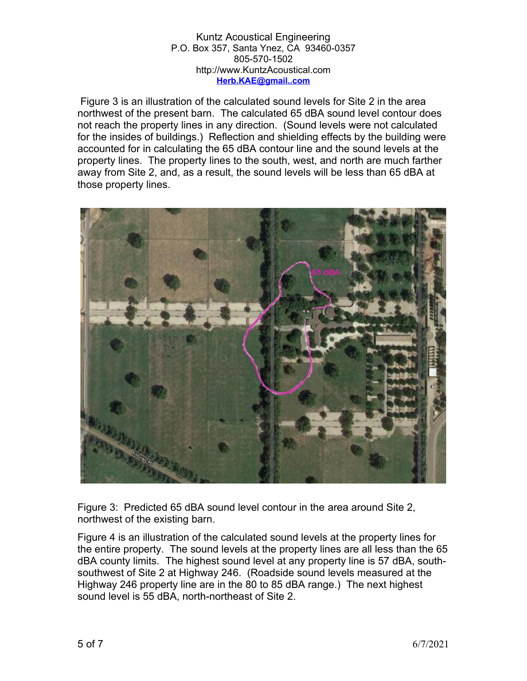Figure 3 is an illustration of the calculated sound levels for Site 2 in the area northwest of the present barn. The calculated 65 dBA sound level contour does not reach the property lines in any direction. (Sound levels were not calculated for the insides of buildings.) Reflection and shielding effects by the building were accounted for in calculating the 65 dBA contour line and the sound levels at the property lines. The property lines to the south, west, and north are much farther away from Site 2, and, as a result, the sound levels will be less than 65 dBA at those property lines.



Figure 3: Predicted 65 dBA sound level contour in the area around Site 2, northwest of the existing barn.

Figure 4 is an illustration of the calculated sound levels at the property lines for the entire property. The sound levels at the property lines are all less than the 65 dBA county limits. The highest sound level at any property line is 57 dBA, southsouthwest of Site 2 at Highway 246. (Roadside sound levels measured at the Highway 246 property line are in the 80 to 85 dBA range.) The next highest sound level is 55 dBA, north-northeast of Site 2.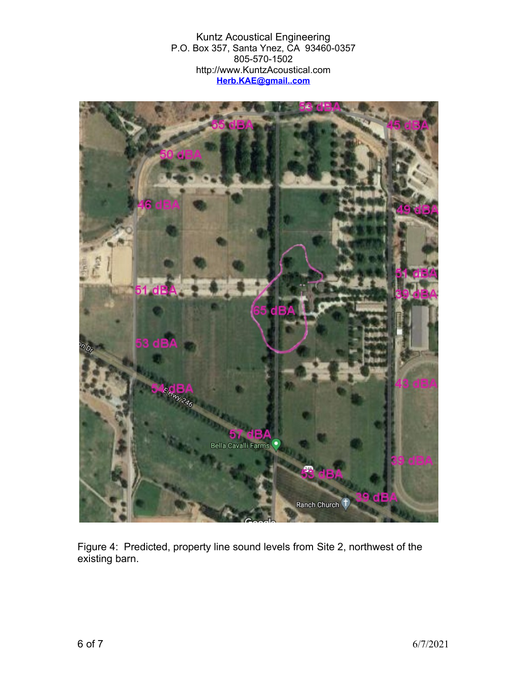

Figure 4: Predicted, property line sound levels from Site 2, northwest of the existing barn.